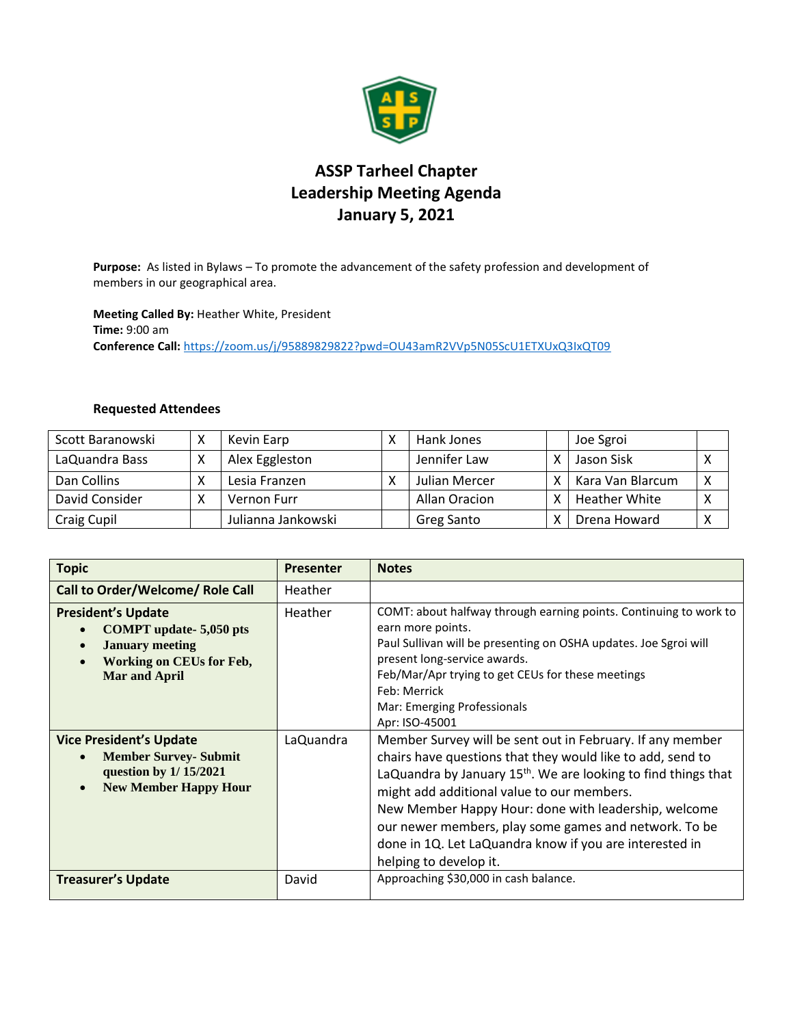

## **ASSP Tarheel Chapter Leadership Meeting Agenda January 5, 2021**

**Purpose:** As listed in Bylaws – To promote the advancement of the safety profession and development of members in our geographical area.

**Meeting Called By:** Heather White, President **Time:** 9:00 am **Conference Call:** <https://zoom.us/j/95889829822?pwd=OU43amR2VVp5N05ScU1ETXUxQ3IxQT09>

## **Requested Attendees**

| Scott Baranowski | $\checkmark$ | Kevin Earp         | Hank Jones    | Joe Sgroi            |   |
|------------------|--------------|--------------------|---------------|----------------------|---|
| LaQuandra Bass   |              | Alex Eggleston     | Jennifer Law  | Jason Sisk           |   |
| Dan Collins      |              | Lesia Franzen      | Julian Mercer | Kara Van Blarcum     | X |
| David Consider   |              | Vernon Furr        | Allan Oracion | <b>Heather White</b> |   |
| Craig Cupil      |              | Julianna Jankowski | Greg Santo    | Drena Howard         |   |

| <b>Topic</b>                                                                                                                                    | <b>Presenter</b> | <b>Notes</b>                                                                                                                                                                                                                                                                                                                                                                                                                                              |
|-------------------------------------------------------------------------------------------------------------------------------------------------|------------------|-----------------------------------------------------------------------------------------------------------------------------------------------------------------------------------------------------------------------------------------------------------------------------------------------------------------------------------------------------------------------------------------------------------------------------------------------------------|
| Call to Order/Welcome/ Role Call                                                                                                                | Heather          |                                                                                                                                                                                                                                                                                                                                                                                                                                                           |
| <b>President's Update</b><br><b>COMPT</b> update-5,050 pts<br><b>January meeting</b><br><b>Working on CEUs for Feb,</b><br><b>Mar and April</b> | Heather          | COMT: about halfway through earning points. Continuing to work to<br>earn more points.<br>Paul Sullivan will be presenting on OSHA updates. Joe Sgroi will<br>present long-service awards.<br>Feb/Mar/Apr trying to get CEUs for these meetings<br>Feb: Merrick<br>Mar: Emerging Professionals<br>Apr: ISO-45001                                                                                                                                          |
| <b>Vice President's Update</b><br><b>Member Survey- Submit</b><br>question by 1/15/2021<br><b>New Member Happy Hour</b><br>$\bullet$            | LaQuandra        | Member Survey will be sent out in February. If any member<br>chairs have questions that they would like to add, send to<br>LaQuandra by January 15 <sup>th</sup> . We are looking to find things that<br>might add additional value to our members.<br>New Member Happy Hour: done with leadership, welcome<br>our newer members, play some games and network. To be<br>done in 1Q. Let LaQuandra know if you are interested in<br>helping to develop it. |
| <b>Treasurer's Update</b>                                                                                                                       | David            | Approaching \$30,000 in cash balance.                                                                                                                                                                                                                                                                                                                                                                                                                     |